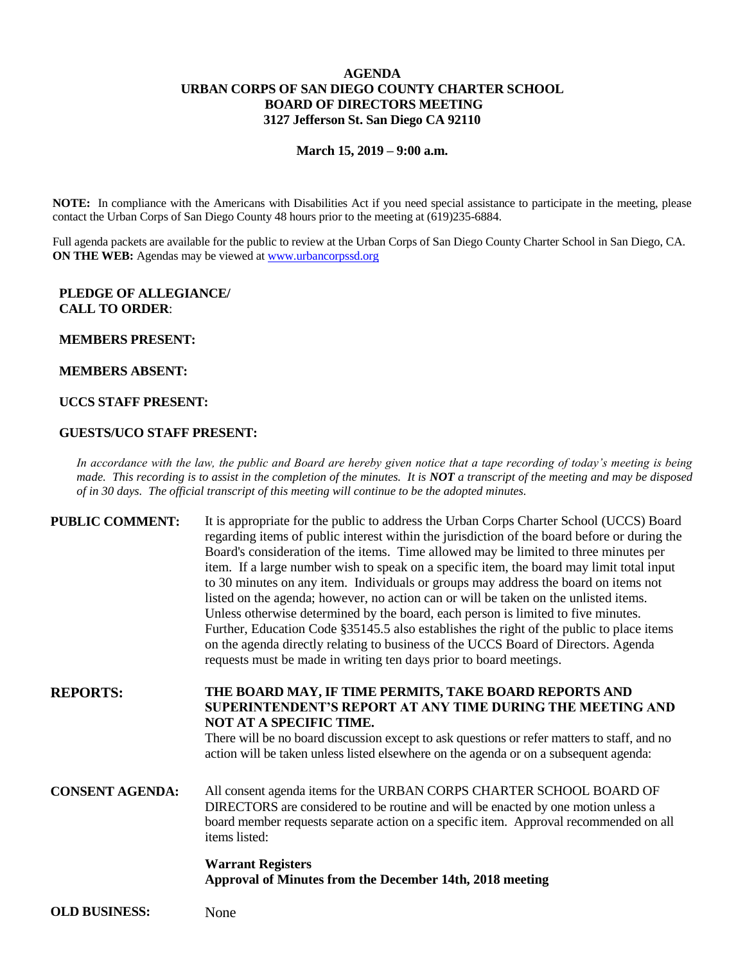# **AGENDA URBAN CORPS OF SAN DIEGO COUNTY CHARTER SCHOOL BOARD OF DIRECTORS MEETING 3127 Jefferson St. San Diego CA 92110**

#### **March 15, 2019 – 9:00 a.m.**

**NOTE:** In compliance with the Americans with Disabilities Act if you need special assistance to participate in the meeting, please contact the Urban Corps of San Diego County 48 hours prior to the meeting at (619)235-6884.

Full agenda packets are available for the public to review at the Urban Corps of San Diego County Charter School in San Diego, CA. **ON THE WEB:** Agendas may be viewed at [www.urbancorpssd.org](http://www.urbancorpssd.org/)

## **PLEDGE OF ALLEGIANCE/ CALL TO ORDER**:

#### **MEMBERS PRESENT:**

### **MEMBERS ABSENT:**

## **UCCS STAFF PRESENT:**

#### **GUESTS/UCO STAFF PRESENT:**

*In accordance with the law, the public and Board are hereby given notice that a tape recording of today's meeting is being made. This recording is to assist in the completion of the minutes. It is NOT a transcript of the meeting and may be disposed of in 30 days. The official transcript of this meeting will continue to be the adopted minutes.*

| <b>PUBLIC COMMENT:</b> | It is appropriate for the public to address the Urban Corps Charter School (UCCS) Board      |
|------------------------|----------------------------------------------------------------------------------------------|
|                        | regarding items of public interest within the jurisdiction of the board before or during the |
|                        | Board's consideration of the items. Time allowed may be limited to three minutes per         |
|                        | item. If a large number wish to speak on a specific item, the board may limit total input    |
|                        | to 30 minutes on any item. Individuals or groups may address the board on items not          |
|                        | listed on the agenda; however, no action can or will be taken on the unlisted items.         |
|                        | Unless otherwise determined by the board, each person is limited to five minutes.            |
|                        | Further, Education Code §35145.5 also establishes the right of the public to place items     |
|                        | on the agenda directly relating to business of the UCCS Board of Directors. Agenda           |
|                        | requests must be made in writing ten days prior to board meetings.                           |
|                        |                                                                                              |

**REPORTS: THE BOARD MAY, IF TIME PERMITS, TAKE BOARD REPORTS AND SUPERINTENDENT'S REPORT AT ANY TIME DURING THE MEETING AND NOT AT A SPECIFIC TIME.**

> There will be no board discussion except to ask questions or refer matters to staff, and no action will be taken unless listed elsewhere on the agenda or on a subsequent agenda:

**CONSENT AGENDA:** All consent agenda items for the URBAN CORPS CHARTER SCHOOL BOARD OF DIRECTORS are considered to be routine and will be enacted by one motion unless a board member requests separate action on a specific item. Approval recommended on all items listed:

# **Warrant Registers Approval of Minutes from the December 14th, 2018 meeting**

**OLD BUSINESS:** None